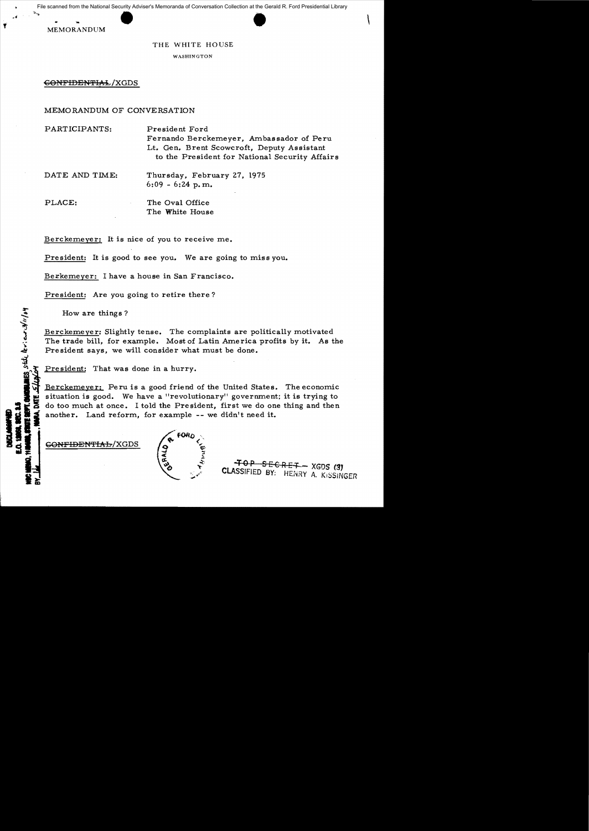scanned from the National Security Adviser's Memoranda of Conversation Collection at the Gerald<br>
MEMORANDUM<br>
THE WHITE HOUSE File scanned from the National Security Adviser's Memoranda of Conversation Collection at the Gerald R. Ford Presidential Library

 $\blacksquare$ .  $\blacksquare$ 

f

## THE WHITE HOUSE

WASHINGTON

GONFIDENTIAL/XGDS

## MEMORANDUM OF CONVERSATION

PARTICIPANTS: President Ford Fernando Berckemeyer, Ambassador of Peru Lt. Gen. Brent Scowcroft, Deputy Assistant to the President for National Security Affairs

DATE AND TIME: Thursday, February 27, 1975  $6:09 - 6:24$  p.m.

PLACE: The Oval Office The White House

Berckemeyer: It is nice of you to receive me.

President: It is good to see you. We are going to miss you.

Berkemeyer: I have a house in San Francisco.

President: Are you going to retire there?

How are things?

ES stile levieur 3/11/04

Berckemeyer: Slightly tense. The complaints are politically motivated The trade bill, for example. Most of Latin America profits by it. As the President says, we will consider what must be done.

President: That was done in a hurry.

Berckemeyer: Peru is a good friend of the United States. The economic situation is good. We have a "revolutionary" government; it is trying to do too much at once. I told the President, first we do one thing and then another. Land reform, for example -- we didn't need it.

GONFIDENTIAL/XGDS



4" 0 P SEC R E:t:--- XGDS **('3J** :..~/ CLASSIFIED *BY:* HENRY A. KI:::;SINGER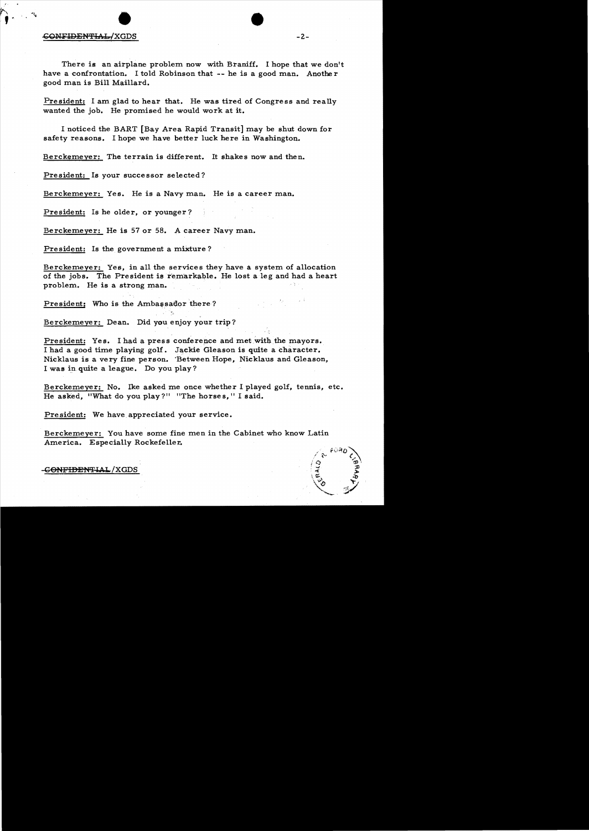## (;O:NFIDEN':Flr.L/XGDS • • -2

There is an airplane problem now with Braniff. I hope that we don't have a confrontation. I told Robinson that -- he is a good man. Another good man is Bill Maillard.

President: I am glad to hear that. He was tired of Congress and really wanted the job. He promised he would work at it.

I noticed the BART [Bay Area Rapid Transit] may be shut down for safety reasons. I hope we have better luck here in Washington.

Berckemeyer: The terrain is different. It shakes now and then.

President: Is your successor selected?

Berckemeyer: Yes. He is a Navy man. He is a career man.

President: Is he older, or younger?

Berckemeyer: He is 57 or 58. A career Navy man.

President: Is the government a mixture?

Berckemeyer: Yes, in all the services they have a system of allocation of the jobs. The President is remarkable. He lost a leg and had a heart problem. He is a strong man.

President: Who is the Ambassador there?

Berckemeyer: Dean. Did you enjoy your trip?

President: Yes. I had a press conference and met with the mayors. I had a good time playing golf. Jackie Gleason is quite a character. Nicklaus is a very fine person. 'Between Hope, Nicklaus and Gleason, I was in. quite a league. Do you play?

 $\frac{1}{2}$ 

Berckemever: No. Ike asked me once whether I played golf, tennis, etc. He asked, "What do you play?" "The horses," I said.

President: We have appreciated your service.

Berckemeyer: You have some fine men in the Cabinet who know Latin America. Especially Rockefeller.



-G<del>ONFIDENTIA</del>L/XGDS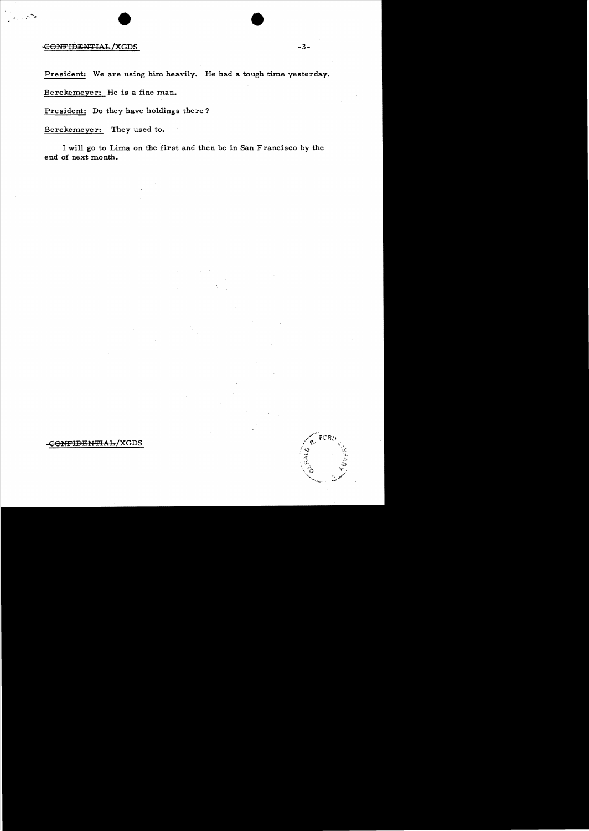## CONFIDENTIAL/XGDS

President: We are using him heavily. He had a tough time yesterday.

Berckemeyer: He is a fine man.

President: Do they have holdings there?

Berckemeyer: They used to.

I will go to Lima on the first and then be in San Francisco by the end of next month.

-GONFIDENTIAL/XGDS

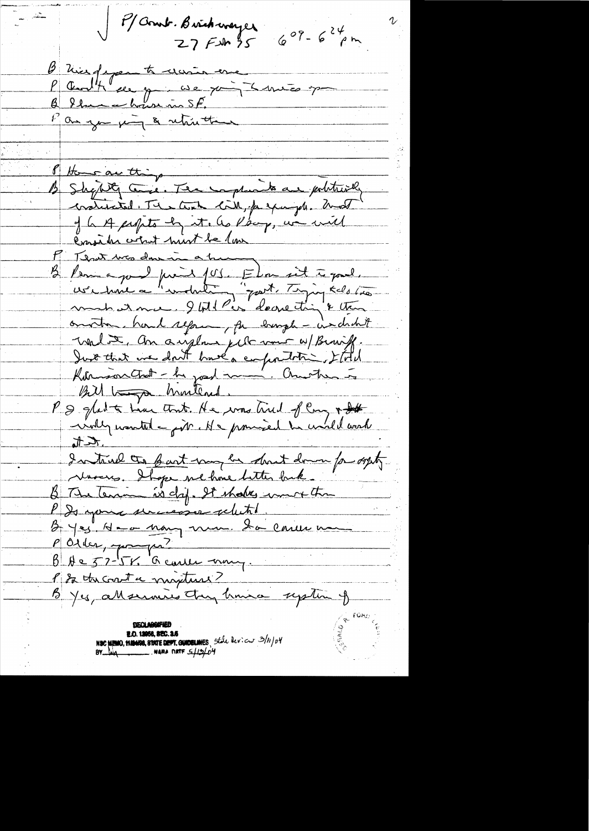P/ Comb. Brickwayer  $609 - 624$ pm  $27$  FM 35 B misforante moin une P Centtle de par comparation de partie et de partie et de partie et de la partie Pan you juin & retrietime of Home are thing 12 Shquet Come. The complaints are politically craticated. The text lit, prepayed. and of he A propets by it. as Pacif, we will Consider colat hurt be low P Tenet was done in a trump B Perince pour fois John sit à pour. omatra, hard repring for burgh - indicht unles an augence just vous apparisse. Kormson Chat - he jord man' Charten is Bill to muterial. P & glat te time that He was trued flory + St inkly wanted - juin. He promised to uncle work  $\frac{t}{t}$ dentivel can bast may be dont down for out Novers. It ge ne houe bitter back. & The Tenan is chip. It shakes common than PD your universe related. Byes No - non nom da carve no P Order, paupre?  $\beta$  Ae 57-156 Carles many. P & the court a mixture? B Yes, all services they know up time of NSC MEMO, NAMISS, STATE DEPT. GUIDELINES, State levicut 3/11/04<br>BY Luq